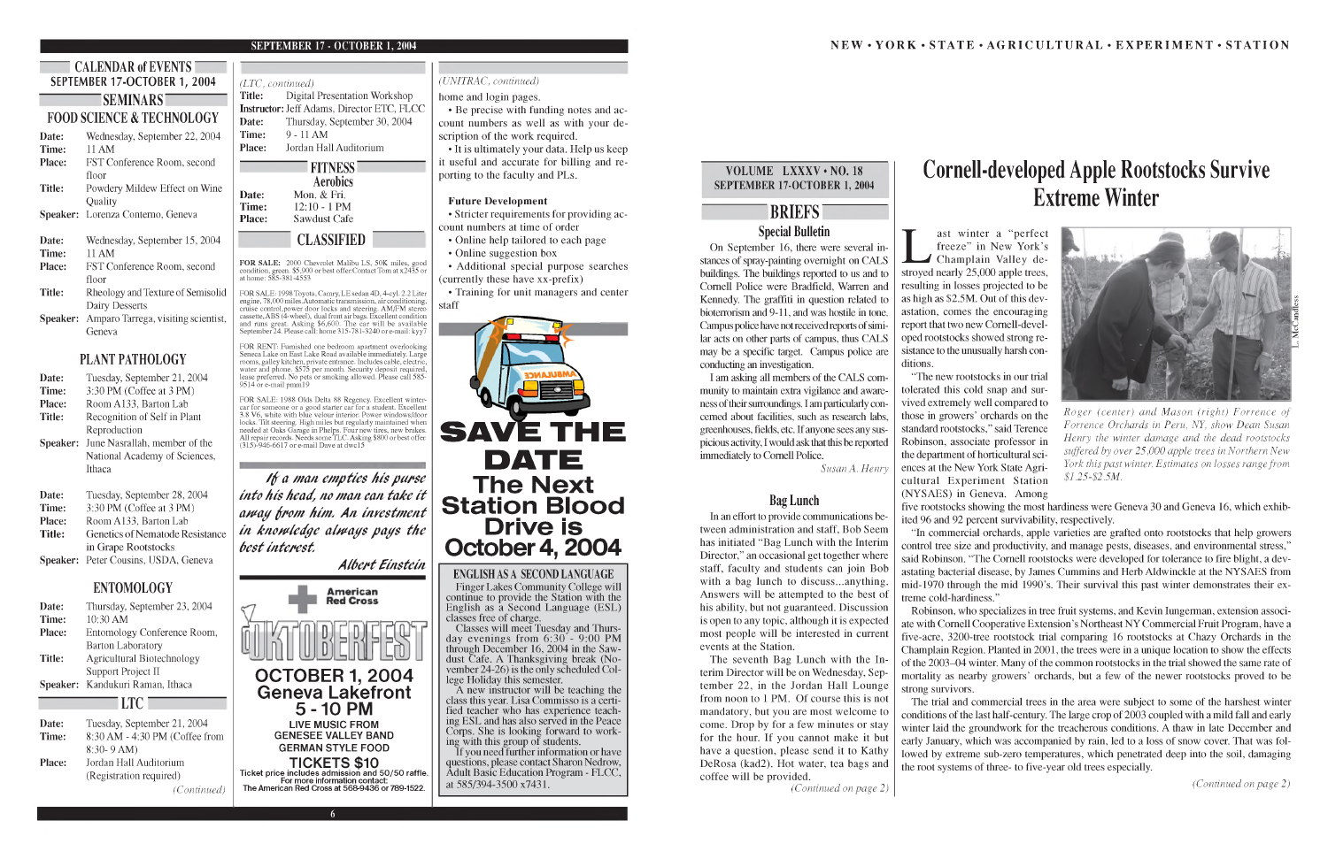**SEMINARS**

# **FOOD SCIENCE & TECHNOLOGY**

**Date:** Wednesday, September 22, 2004 **Time:** 11 AM **Place:** FST Conference Room, second floor **Title:** Powdery Mildew Effect on Wine Quality **Speaker:** Lorenza Conterno, Geneva **Date:** Wednesday, September 15, 2004 **Time:** 11 AM **Place:** FST Conference Room, second floor **Title:** Rheology and Texture of Semisolid Dairy Desserts **Speaker:** Amparo Tarrega, visiting scientist, Geneva

## **PLANT PATHOLOGY**

| Date:         | Tuesday, September 21, 2004   |
|---------------|-------------------------------|
| Time:         | 3:30 PM (Coffee at 3 PM)      |
| <b>Place:</b> | Room A133, Barton Lab         |
| Title:        | Recognition of Self in Plant  |
|               | Reproduction                  |
| Speaker:      | June Nasrallah, member of the |
|               | National Academy of Sciences, |
|               | Ithaca                        |
| Date:         | Tuesday, September 28, 2004   |
| Time:         | 3:30 PM (Coffee at 3 PM)      |
|               |                               |

FOR SALE: 1998 Toyota, Camry, LE sedan 4D, 4-cyl. 2.2 Liter engine, 78,000 miles.Automatic transmission, air conditioning,<br>cruise control,power door locks and steering. AM/FM stereo cassette, ABS (4-wheel), dual front air bags. Excellent condition and runs great. Asking \$6,600. The car will be available September 24. Please call: home 315-781-3240 or e-mail: kyy7

| типе.         | $J_{\nu}J_{\nu}$ in (Colleger <i>at</i> $J_{\nu}$ in Fig. |
|---------------|-----------------------------------------------------------|
| <b>Place:</b> | Room A133, Barton Lab                                     |
| <b>Title:</b> | Genetics of Nematode Resistance                           |
|               | in Grape Rootstocks                                       |
|               | Speaker: Peter Cousins, USDA, Geneva                      |
|               |                                                           |

FOR RENT: Furnished one bedroom apartment overlooking Seneca Lake on East Lake Road available immediately. Large rooms, galley kitchen, private entrance. Includes cable, electric, water and phone. \$575 per month. Security deposit required, lease preferred. No pets or smoking allowed. Please call 585  $9514$  or e-mail pmm<sup>19</sup>

FOR SALE: 1988 Olds Delta 88 Regency. Excellent winter-<br>car for someone or a good starter car for a student. Excellent<br>3.8 V6, white with blue velour interior. Power windows/door<br>locks. Tilt steering. High miles but regula

### **ENTOMOLOGY**

| Date:  | Thursday, September 23, 2004      |
|--------|-----------------------------------|
| Time:  | $10:30$ AM                        |
| Place: | Entomology Conference Room,       |
|        | <b>Barton Laboratory</b>          |
| Title: | <b>Agricultural Biotechnology</b> |
|        | Support Project II                |
|        | Speaker: Kandukuri Raman, Ithaca  |
|        |                                   |

### **LTC**

| Date:  | Tuesday, September 21, 2004    |
|--------|--------------------------------|
|        | 8:30 AM - 4:30 PM (Coffee from |
| Time:  |                                |
|        | $8:30 - 9 AM$                  |
| Place: | Jordan Hall Auditorium         |
|        | (Registration required)        |
|        | (Continued)                    |

### *(LTC, continued)*

**Title:** Digital Presentation Workshop **Instructor:** Jeff Adams, Director ETC, FLCC **Date:** Thursday, September 30, 2004 **Time:** 9 - 11 AM **Place:** Jordan Hall Auditorium



# **CLASSIFIED**

FOR SALE: 2000 Chevrolet Malibu LS, 50K miles, good<br>condition, green. \$5,900 or best offer.Contact Tom at x2435 or<br>at home: 585-381-4553

- Online help tailored to each page
- Online suggestion box

• Additional special purpose searches (currently these have xx-prefix)

If you need further information or have questions, please contact Sharon Nedrow, Adult Basic Education Program - FLCC, at 585/394-3500 x7431.

*I f a man empties his purse into his head, no man can take it away from him. An investment in knowledge always pays the best interest. Albert Einstein*

### *(UNITRAC, continued)*

#### home and login pages.

# ast winter a "perfect"<br>freeze" in New York's<br>Champlain Valley destroyed nearly 25,000 apple trees, resulting in losses projected to be as high as \$2.5M. Out of this devastation, comes the encouraging report that two new Cornell-developed rootstocks showed strong resistance to the unusually harsh con-

• Be precise with funding notes and account numbers as well as with your description of the work required.

• It is ultimately your data. Help us keep it useful and accurate for billing and reporting to the faculty and PLs.

### **Future Development**

• Stricter requirements for providing account numbers at time of order

• Training for unit managers and center staff



Finger Lakes Community College will continue to provide the Station with the English as a Second Language (ESL) classes free of charge.

Classes will meet Tuesday and Thursday evenings from 6:30 - 9:00 PM through December 16, 2004 in the Sawdust Cafe. A Thanksgiving break (November 24-26) is the only scheduled College Holiday this semester.

A new instructor will be teaching the class this year. Lisa Commisso is a certified teacher who has experience teaching ESL and has also served in the Peace Corps. She is looking forward to working with this group of students.

### VOLUME LXXXV • NO. 18 **SEPTEMBER 17-OCTOBER 1, 2004**

# **BRIEFS Special Bulletin**

On September 16, there were several instances of spray-painting overnight on CALS buildings. The buildings reported to us and to Cornell Police were Bradfield, Warren and Kennedy. The graffiti in question related to bioterrorism and 9-11, and was hostile in tone. Campus police have not received reports of similar acts on other parts of campus, thus CALS may be a specific target. Campus police are conducting an investigation.

I am asking all members of the CALS community to maintain extra vigilance and awareness of their surroundings. I am particularly concerned about facilities, such as research labs, greenhouses, fields, etc. If anyone sees any suspicious activity, I would ask that this be reported immediately to Cornell Police.

*Susan* A. *Henry*

### **Bag Lunch**

In an effort to provide communications between administration and staff, Bob Seem has initiated "Bag Lunch with the Interim Director," an occasional get together where staff, faculty and students can join Bob with a bag lunch to discuss...anything. Answers will be attempted to the best of his ability, but not guaranteed. Discussion is open to any topic, although it is expected most people will be interested in current events at the Station.

The seventh Bag Lunch with the Interim Director will be on Wednesday, September 22, in the Jordan Hall Lounge from noon to 1 PM. Of course this is not mandatory, but you are most welcome to come. Drop by for a few minutes or stay for the hour. If you cannot make it but have a question, please send it to Kathy DeRosa (kad2). Hot water, tea bags and coffee will be provided.



*(Continued on page 2)*

# **Cornell-developed Apple Rootstocks Survive Extreme Winter**

ast winter a "perfect freeze" in New York's

ditions.

"In commercial orchards, apple varieties are grafted onto rootstocks that help growers control tree size and productivity, and manage pests, diseases, and environmental stress," said Robinson. "The Cornell rootstocks were developed for tolerance to fire blight, a devastating bacterial disease, by James Cummins and Herb Aldwinckle at the NYSAES from mid-1970 through the mid 1990's. Their survival this past winter demonstrates their extreme cold-hardiness."

"The new rootstocks in our trial tolerated this cold snap and survived extremely well compared to those in growers' orchards on the standard rootstocks," said Terence Robinson, associate professor in the department of horticultural sciences at the New York State Agricultural Experiment Station (NYSAES) in Geneva. Among five rootstocks showing the most hardiness were Geneva 30 and Geneva 16, which exhibited 96 and 92 percent survivability, respectively. *Roger (center) and M ason (right) Forrence of Forrence Orchards in Peru, NY, show Dean Susan Henry the winter damage and the dead rootstocks suffered by over 25,000 apple trees in Northern New York this past winter. Estimates on losses range from \$1.25-\$2.5M.*

Robinson, who specializes in tree fruit systems, and Kevin Iungerman, extension associate with Cornell Cooperative Extension's Northeast NY Commercial Fruit Program, have a five-acre, 3200-tree rootstock trial comparing 16 rootstocks at Chazy Orchards in the Champlain Region. Planted in 2001, the trees were in a unique location to show the effects of the 2003-04 winter. Many of the common rootstocks in the trial showed the same rate of mortality as nearby growers' orchards, but a few of the newer rootstocks proved to be strong survivors.

The trial and commercial trees in the area were subject to some of the harshest winter conditions of the last half-century. The large crop of 2003 coupled with a mild fall and early winter laid the groundwork for the treacherous conditions. A thaw in late December and early January, which was accompanied by rain, led to a loss of snow cover. That was followed by extreme sub-zero temperatures, which penetrated deep into the soil, damaging the root systems of three- to five-year old trees especially.

*(Continued on page 2)*